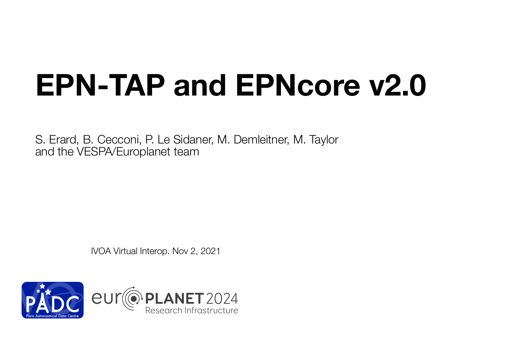## **EPN-TAP and EPNcore v2.0**

S. Erard, B. Cecconi, P. Le Sidaner, M. Demleitner, M. Taylor and the VESPA/Europlanet team

IVOA Virtual Interop. Nov 2, 2021

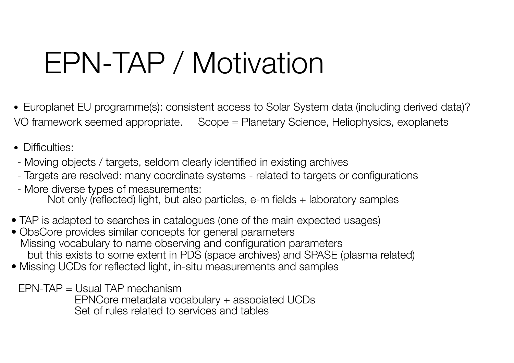## EPN-TAP / Motivation

- Europlanet EU programme(s): consistent access to Solar System data (including derived data)? VO framework seemed appropriate. Scope = Planetary Science, Heliophysics, exoplanets
- Difficulties:
- Moving objects / targets, seldom clearly identified in existing archives
- Targets are resolved: many coordinate systems related to targets or configurations
- More diverse types of measurements: Not only (reflected) light, but also particles, e-m fields + laboratory samples
- TAP is adapted to searches in catalogues (one of the main expected usages)
- ObsCore provides similar concepts for general parameters Missing vocabulary to name observing and configuration parameters but this exists to some extent in PDS (space archives) and SPASE (plasma related)
- Missing UCDs for reflected light, in-situ measurements and samples
	- EPN-TAP = Usual TAP mechanism
		- EPNCore metadata vocabulary + associated UCDs Set of rules related to services and tables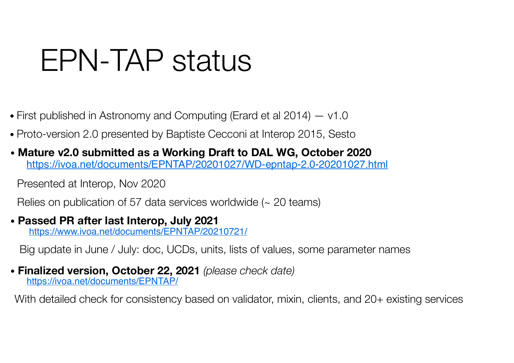## EPN-TAP status

- First published in Astronomy and Computing (Erard et al 2014) v1.0
- Proto-version 2.0 presented by Baptiste Cecconi at Interop 2015, Sesto
- • **Mature v2.0 submitted as a Working Draft to DAL WG, October 2020**  https://ivoa.net/documents/EPNTAP/20201027/WD-epntap-2.0-20201027.html

Presented at Interop, Nov 2020

Relies on publication of 57 data services worldwide (~ 20 teams)

• **Passed PR after last Interop, July 2021**  https://www.ivoa.net/documents/EPNTAP/20210721/

Big update in June / July: doc, UCDs, units, lists of values, some parameter names

• **Finalized version, October 22, 2021** *(please check date)* https://ivoa.net/documents/EPNTAP/

With detailed check for consistency based on validator, mixin, clients, and 20+ existing services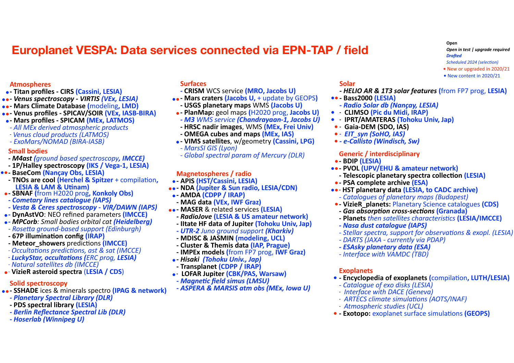### **Europlanet VESPA: Data services connected via EPN-TAP / field**

#### **Open Open** in test | upgrade required **Drafted** *Scheduled 2024 (selection)* • New or upgraded in 2020/21 • New content in 2020/21

#### **Atmospheres**

- **•** Titan profiles CIRS (Cassini, LESIA)
- **••** Venus spectroscopy VIRTIS *(VEx, LESIA)*
- **••** Mars Climate Database (modeling, LMD)
- **••** Venus profiles SPICAV/SOIR (VEx, IASB-BIRA)
- **Mars profiles SPICAM (MEx, LATMOS)**
- *- All MEx derived atmospheric products*
- *- Venus cloud products* (*LATMOS*)
- *- ExoMars/NOMAD (BIRA-IASB)*

#### **Small bodies**

- **M4ast (***ground based spectroscopy*, *IMCCE*)
- 1P/Halley spectroscopy (IKS / Vega-1, LESIA)
- **••** BaseCom (Nançay Obs, LESIA)
	- **TNOs are cool (Herchel & Spitzer** + compilation,<br>**LESIA & LAM & Utinam**)
- **SBNAF (from H2020 prog, Konkoly Obs)**
- *- Cometary lines catalogue (IAPS)*
- *- Vesta & Ceres spectroscopy - VIR/DAWN (IAPS)*
- **-** DynAstVO: NEO refined parameters (IMCCE)<br>
MPCorb: Small bodies orbital cat (Heidelberg) **• DynAstVO: NEO refined parameters (IMCCE)**
- Rosetta ground-based support (Edinburgh)
- **67P illumination config (IRAP)**
- **Meteor showers** predictions *(IMCCE)*
- *- Occultations predictions, ast & sat (IMCCE)*
- *- LuckyStar, occultations (<i>ERC* prog, *LESIA*) *- Natural satellites db (IMCCE)*
- **•** VizieR asteroid spectra (LESIA / CDS)

### **Solid spectroscopy**

- **••** SSHADE ices & minerals spectro (IPAG & network)
	- *Planetary Spectral Library (DLR)*
	- **PDS spectral library (LESIA)**
	- **Berlin Reflectance Spectral Lib (DLR)**
	- *- Hoserlab (Winnipeg U)*

#### **Surfaces**

- *-* **CRISM** WCS service **(MRO, Jacobs U)**
- **••** Mars craters (Jacobs U, + update by GEOPS)
- **USGS planetary maps** WMS (Jacobs U)
- **PlanMap:** geol maps (H2020 prog, Jacobs U)
- *- M3 WMS service (Chandrayaan-1, Jacobs U)*
- **HRSC nadir images, WMS (MEx, Frei Univ)**
- **OMEGA cubes and maps (MEx, IAS)**
- **-** VIMS satellites, w/geometry (Cassini, LPG)<br>
*MarsSI GIS (Lyon)* 
	-
	- *- Global spectral param of Mercury (DLR)*

### **Magnetospheres / radio**

- - APIS (HST/Cassini, LESIA)
- **-** APIS (HST/Cassini, LESIA)<br> **••** NDA (Jupiter & Sun radio, LESIA/CDN)
- **•** AMDA (CDPP / IRAP)
- **MAG data (VEx, IWF Graz)**
- **••** MASER & related services (LESIA)
	- **RadioJove (LESIA & US amateur network)**
	- Iltate HF data of Jupiter (Tohoku Univ, Jap)
	- *- UTR-2 Juno ground support (Kharkiv)*
	- **MDISC & JASMIN (modeling, UCL)**
	- **- Cluster & Themis data (IAP, Prague)**
	- **IMPEx models (from FP7 prog, IWF Graz)**
- **•** Hisaki (Tohoku Univ., Jap)
- **Transplanet (CDPP / IRAP)**
- **•** LOFAR Jupiter (CBK/PAS, Warsaw)
- **Magnetic field simus (LMSU)**
- **ASPERA & MARSIS atm obs (MEx, Iowa U)**

#### **Solar**

- *- HELIO AR & 1T3 solar features* **(**from FP7 prog, **LESIA)**
- **••** Bass2000 (LESIA)
- *- Radio Solar db (Nançay, LESIA)*
- **• CLIMSO** (Pic du Midi, IRAP)
- **• IPRT/AMATERAS** (Tohoku Univ, Jap)
- **• Gaia-DEM** (SDO, IAS)
- **•** *· EIT\_syn (SoHO, IAS)*
- **- e-Callisto (Windisch, Sw)**

### **Generic / interdisciplinary**

- **•** BDIP (LESIA)
- **••** PVOL (UPV/EHU & amateur network)
	- **Telescopic planetary spectra collection (LESIA)**
- **- PSA complete archive (ESA)**
- **••** HST planetary data (LESIA, to CADC archive) *- Catalogues of planetary maps (Budapest)*
- **•** VizieR\_planets: Planetary Science catalogues (CDS)
	- *Gas absorption cross-sections (Granada)*
	- **Planets** *then* satellites characteristics (LESIA/IMCCE)
- *- Nasa dust catalogue (IAPS)*
- Stellar spectra, support for observations & exopl. (LESIA)
- DARTS (JAXA currently via PDAP)
- *- ESAsky planetary data (ESA)*
- *- Interface with VAMDC (TBD)*

### **Exoplanets**

- **- Encyclopedia of exoplanets (compilation, LUTH/LESIA)**
- *- Catalogue of exo disks (LESIA)*
- *- Interface* with DACE (Geneva)
- *- ARTECS* climate simulations (AOTS/INAF)
- *- Atmospheric studies (UCL)*
- **•** Exotopo: exoplanet surface simulations (GEOPS)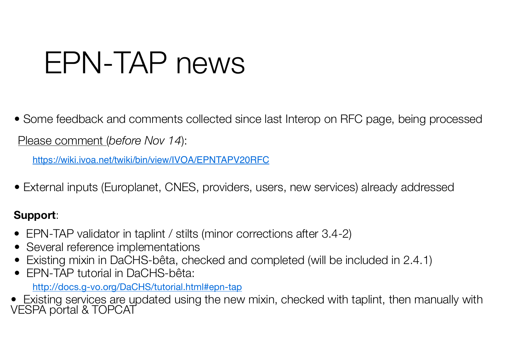## EPN-TAP news

• Some feedback and comments collected since last Interop on RFC page, being processed

Please comment (*before Nov 14*):

https://wiki.ivoa.net/twiki/bin/view/IVOA/EPNTAPV20RFC

• External inputs (Europlanet, CNES, providers, users, new services) already addressed

### **Support**:

- EPN-TAP validator in taplint / stilts (minor corrections after 3.4-2)
- Several reference implementations
- Existing mixin in DaCHS-bêta, checked and completed (will be included in 2.4.1)
- EPN-TAP tutorial in DaCHS-bêta:

http://docs.g-vo.org/DaCHS/tutorial.html#epn-tap

• Existing services are updated using the new mixin, checked with taplint, then manually with VESPA portal & TOPCAT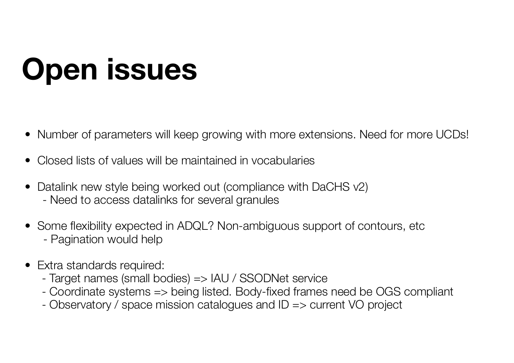# **Open issues**

- Number of parameters will keep growing with more extensions. Need for more UCDs!
- Closed lists of values will be maintained in vocabularies
- Datalink new style being worked out (compliance with DaCHS v2) - Need to access datalinks for several granules
- Some flexibility expected in ADQL? Non-ambiguous support of contours, etc - Pagination would help
- Extra standards required:
	- Target names (small bodies) => IAU / SSODNet service
	- Coordinate systems => being listed. Body-fixed frames need be OGS compliant
	- Observatory / space mission catalogues and ID => current VO project